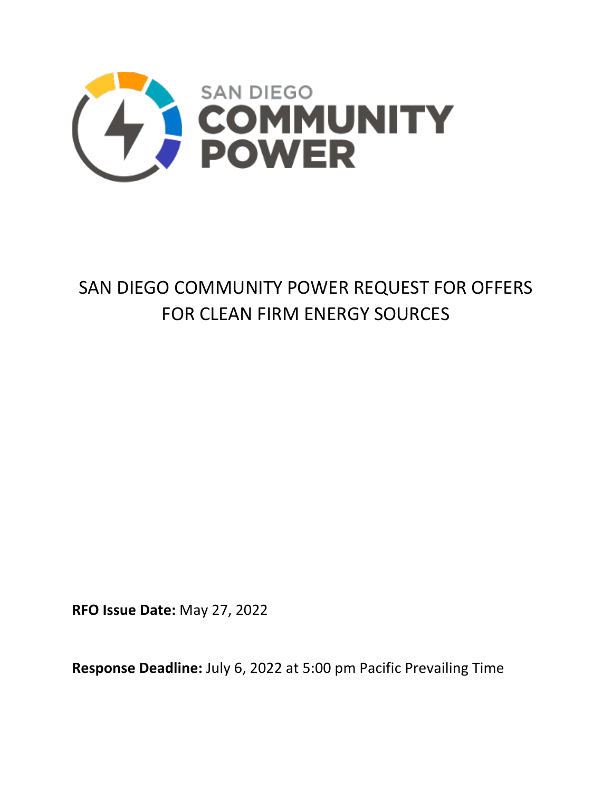

# SAN DIEGO COMMUNITY POWER REQUEST FOR OFFERS FOR CLEAN FIRM ENERGY SOURCES

**RFO Issue Date:** May 27, 2022

**Response Deadline:** July 6, 2022 at 5:00 pm Pacific Prevailing Time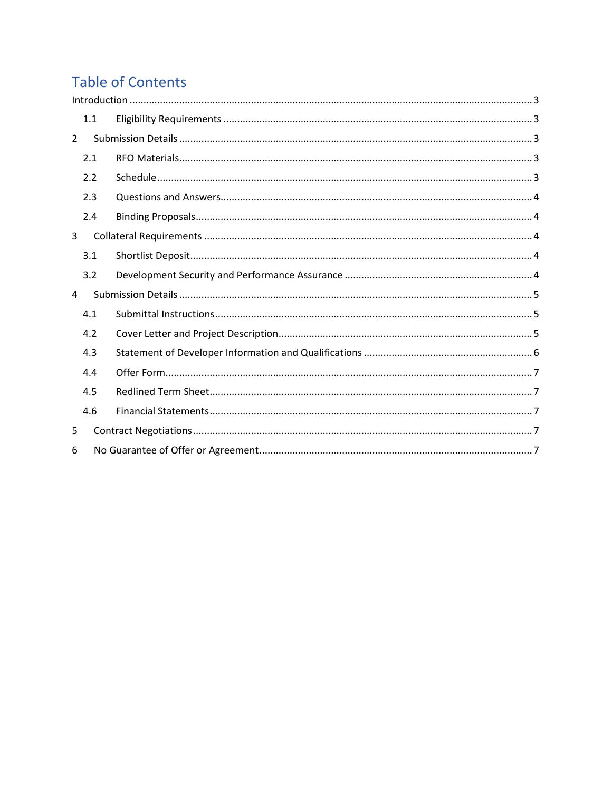# **Table of Contents**

|                | 1.1 |  |  |  |
|----------------|-----|--|--|--|
| $\overline{2}$ |     |  |  |  |
|                | 2.1 |  |  |  |
|                | 2.2 |  |  |  |
|                | 2.3 |  |  |  |
|                | 2.4 |  |  |  |
| 3              |     |  |  |  |
|                | 3.1 |  |  |  |
|                | 3.2 |  |  |  |
| 4              |     |  |  |  |
|                | 4.1 |  |  |  |
|                | 4.2 |  |  |  |
|                | 4.3 |  |  |  |
|                | 4.4 |  |  |  |
|                | 4.5 |  |  |  |
|                | 4.6 |  |  |  |
| 5              |     |  |  |  |
| 6              |     |  |  |  |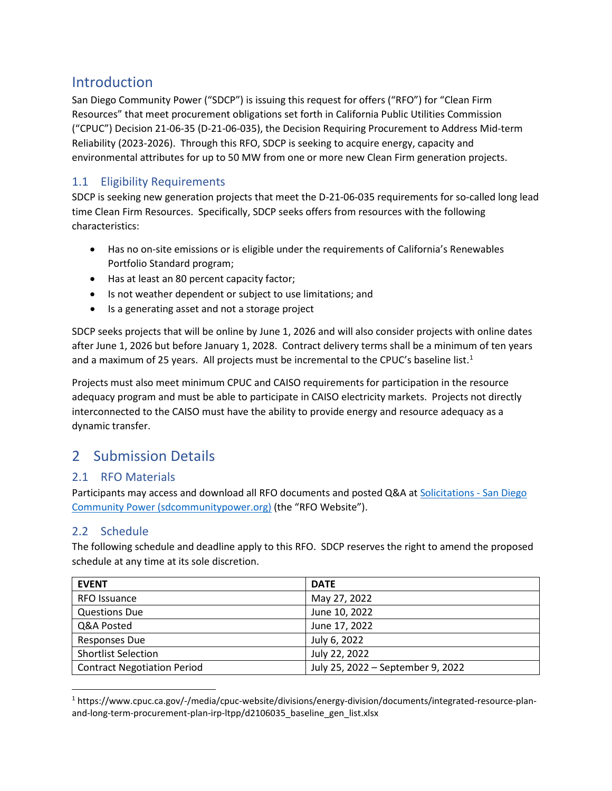# <span id="page-2-0"></span>Introduction

San Diego Community Power ("SDCP") is issuing this request for offers ("RFO") for "Clean Firm Resources" that meet procurement obligations set forth in California Public Utilities Commission ("CPUC") Decision 21-06-35 (D-21-06-035), the Decision Requiring Procurement to Address Mid-term Reliability (2023-2026). Through this RFO, SDCP is seeking to acquire energy, capacity and environmental attributes for up to 50 MW from one or more new Clean Firm generation projects.

## <span id="page-2-1"></span>1.1 Eligibility Requirements

SDCP is seeking new generation projects that meet the D-21-06-035 requirements for so-called long lead time Clean Firm Resources. Specifically, SDCP seeks offers from resources with the following characteristics:

- Has no on-site emissions or is eligible under the requirements of California's Renewables Portfolio Standard program;
- Has at least an 80 percent capacity factor;
- Is not weather dependent or subject to use limitations; and
- Is a generating asset and not a storage project

SDCP seeks projects that will be online by June 1, 2026 and will also consider projects with online dates after June 1, 2026 but before January 1, 2028. Contract delivery terms shall be a minimum of ten years and a maximum of 25 years. All projects must be incremental to the CPUC's baseline list.<sup>[1](#page-2-5)</sup>

Projects must also meet minimum CPUC and CAISO requirements for participation in the resource adequacy program and must be able to participate in CAISO electricity markets. Projects not directly interconnected to the CAISO must have the ability to provide energy and resource adequacy as a dynamic transfer.

# <span id="page-2-2"></span>2 Submission Details

#### <span id="page-2-3"></span>2.1 RFO Materials

Participants may access and download all RFO documents and posted Q&A at Solicitations - San Diego [Community Power \(sdcommunitypower.org\)](https://sdcommunitypower.org/resources/solicitations/) (the "RFO Website").

### <span id="page-2-4"></span>2.2 Schedule

The following schedule and deadline apply to this RFO. SDCP reserves the right to amend the proposed schedule at any time at its sole discretion.

| <b>EVENT</b>                       | <b>DATE</b>                       |
|------------------------------------|-----------------------------------|
| RFO Issuance                       | May 27, 2022                      |
| <b>Questions Due</b>               | June 10, 2022                     |
| Q&A Posted                         | June 17, 2022                     |
| <b>Responses Due</b>               | July 6, 2022                      |
| <b>Shortlist Selection</b>         | July 22, 2022                     |
| <b>Contract Negotiation Period</b> | July 25, 2022 - September 9, 2022 |

<span id="page-2-5"></span><sup>1</sup> https://www.cpuc.ca.gov/-/media/cpuc-website/divisions/energy-division/documents/integrated-resource-planand-long-term-procurement-plan-irp-ltpp/d2106035 baseline gen list.xlsx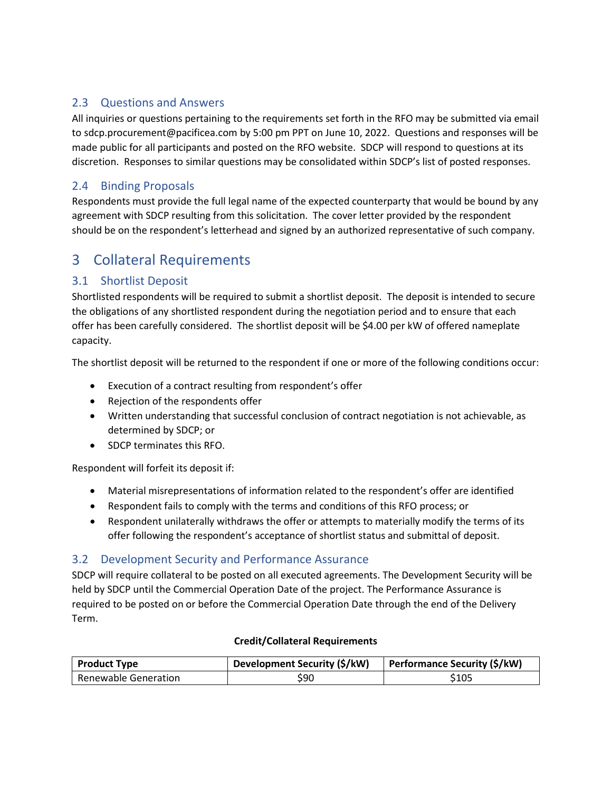#### <span id="page-3-0"></span>2.3 Questions and Answers

All inquiries or questions pertaining to the requirements set forth in the RFO may be submitted via email to sdcp.procurement@pacificea.com by 5:00 pm PPT on June 10, 2022. Questions and responses will be made public for all participants and posted on the RFO website. SDCP will respond to questions at its discretion. Responses to similar questions may be consolidated within SDCP's list of posted responses.

### <span id="page-3-1"></span>2.4 Binding Proposals

Respondents must provide the full legal name of the expected counterparty that would be bound by any agreement with SDCP resulting from this solicitation. The cover letter provided by the respondent should be on the respondent's letterhead and signed by an authorized representative of such company.

# <span id="page-3-2"></span>3 Collateral Requirements

### <span id="page-3-3"></span>3.1 Shortlist Deposit

Shortlisted respondents will be required to submit a shortlist deposit. The deposit is intended to secure the obligations of any shortlisted respondent during the negotiation period and to ensure that each offer has been carefully considered. The shortlist deposit will be \$4.00 per kW of offered nameplate capacity.

The shortlist deposit will be returned to the respondent if one or more of the following conditions occur:

- Execution of a contract resulting from respondent's offer
- Rejection of the respondents offer
- Written understanding that successful conclusion of contract negotiation is not achievable, as determined by SDCP; or
- SDCP terminates this RFO.

Respondent will forfeit its deposit if:

- Material misrepresentations of information related to the respondent's offer are identified
- Respondent fails to comply with the terms and conditions of this RFO process; or
- Respondent unilaterally withdraws the offer or attempts to materially modify the terms of its offer following the respondent's acceptance of shortlist status and submittal of deposit.

#### <span id="page-3-4"></span>3.2 Development Security and Performance Assurance

SDCP will require collateral to be posted on all executed agreements. The Development Security will be held by SDCP until the Commercial Operation Date of the project. The Performance Assurance is required to be posted on or before the Commercial Operation Date through the end of the Delivery Term.

#### **Credit/Collateral Requirements**

| <b>Product Type</b>  | Development Security (\$/kW) | Performance Security (\$/kW) |
|----------------------|------------------------------|------------------------------|
| Renewable Generation | \$90                         | \$105                        |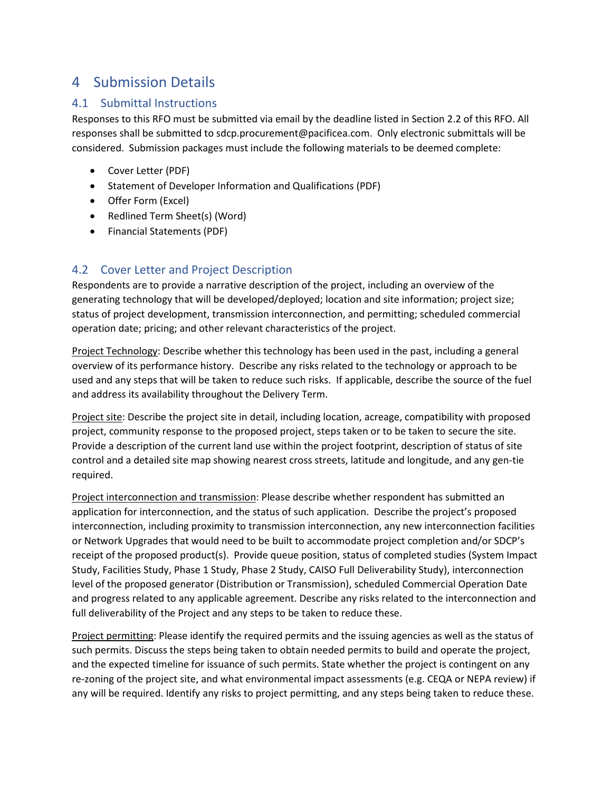# <span id="page-4-0"></span>4 Submission Details

### <span id="page-4-1"></span>4.1 Submittal Instructions

Responses to this RFO must be submitted via email by the deadline listed in Section 2.2 of this RFO. All responses shall be submitted to sdcp.procurement@pacificea.com. Only electronic submittals will be considered. Submission packages must include the following materials to be deemed complete:

- Cover Letter (PDF)
- Statement of Developer Information and Qualifications (PDF)
- Offer Form (Excel)
- Redlined Term Sheet(s) (Word)
- Financial Statements (PDF)

### <span id="page-4-2"></span>4.2 Cover Letter and Project Description

Respondents are to provide a narrative description of the project, including an overview of the generating technology that will be developed/deployed; location and site information; project size; status of project development, transmission interconnection, and permitting; scheduled commercial operation date; pricing; and other relevant characteristics of the project.

Project Technology: Describe whether this technology has been used in the past, including a general overview of its performance history. Describe any risks related to the technology or approach to be used and any steps that will be taken to reduce such risks. If applicable, describe the source of the fuel and address its availability throughout the Delivery Term.

Project site: Describe the project site in detail, including location, acreage, compatibility with proposed project, community response to the proposed project, steps taken or to be taken to secure the site. Provide a description of the current land use within the project footprint, description of status of site control and a detailed site map showing nearest cross streets, latitude and longitude, and any gen-tie required.

Project interconnection and transmission: Please describe whether respondent has submitted an application for interconnection, and the status of such application. Describe the project's proposed interconnection, including proximity to transmission interconnection, any new interconnection facilities or Network Upgrades that would need to be built to accommodate project completion and/or SDCP's receipt of the proposed product(s). Provide queue position, status of completed studies (System Impact Study, Facilities Study, Phase 1 Study, Phase 2 Study, CAISO Full Deliverability Study), interconnection level of the proposed generator (Distribution or Transmission), scheduled Commercial Operation Date and progress related to any applicable agreement. Describe any risks related to the interconnection and full deliverability of the Project and any steps to be taken to reduce these.

Project permitting: Please identify the required permits and the issuing agencies as well as the status of such permits. Discuss the steps being taken to obtain needed permits to build and operate the project, and the expected timeline for issuance of such permits. State whether the project is contingent on any re-zoning of the project site, and what environmental impact assessments (e.g. CEQA or NEPA review) if any will be required. Identify any risks to project permitting, and any steps being taken to reduce these.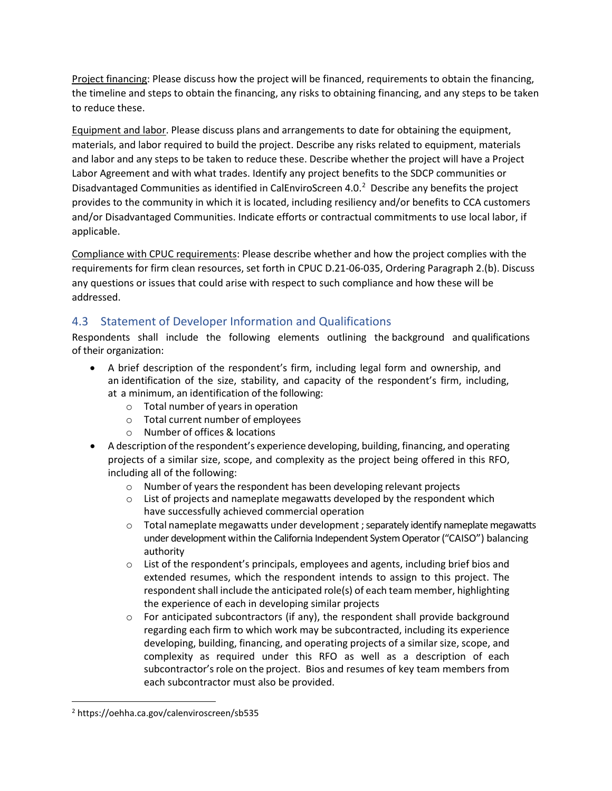Project financing: Please discuss how the project will be financed, requirements to obtain the financing, the timeline and steps to obtain the financing, any risks to obtaining financing, and any steps to be taken to reduce these.

Equipment and labor. Please discuss plans and arrangements to date for obtaining the equipment, materials, and labor required to build the project. Describe any risks related to equipment, materials and labor and any steps to be taken to reduce these. Describe whether the project will have a Project Labor Agreement and with what trades. Identify any project benefits to the SDCP communities or Disadvantaged Communities as identified in CalEnviroScreen 4.0.<sup>2</sup> Describe any benefits the project provides to the community in which it is located, including resiliency and/or benefits to CCA customers and/or Disadvantaged Communities. Indicate efforts or contractual commitments to use local labor, if applicable.

Compliance with CPUC requirements: Please describe whether and how the project complies with the requirements for firm clean resources, set forth in CPUC D.21-06-035, Ordering Paragraph 2.(b). Discuss any questions or issues that could arise with respect to such compliance and how these will be addressed.

### <span id="page-5-0"></span>4.3 Statement of Developer Information and Qualifications

Respondents shall include the following elements outlining the background and qualifications of their organization:

- A brief description of the respondent's firm, including legal form and ownership, and an identification of the size, stability, and capacity of the respondent's firm, including, at a minimum, an identification of the following:
	- o Total number of years in operation
	- o Total current number of employees
	- o Number of offices & locations
- A description of the respondent's experience developing, building, financing, and operating projects of a similar size, scope, and complexity as the project being offered in this RFO, including all of the following:
	- o Number of years the respondent has been developing relevant projects
	- o List of projects and nameplate megawatts developed by the respondent which have successfully achieved commercial operation
	- $\circ$  Total nameplate megawatts under development ; separately identify nameplate megawatts under development within the California Independent System Operator ("CAISO") balancing authority
	- $\circ$  List of the respondent's principals, employees and agents, including brief bios and extended resumes, which the respondent intends to assign to this project. The respondent shall include the anticipated role(s) of each team member, highlighting the experience of each in developing similar projects
	- $\circ$  For anticipated subcontractors (if any), the respondent shall provide background regarding each firm to which work may be subcontracted, including its experience developing, building, financing, and operating projects of a similar size, scope, and complexity as required under this RFO as well as a description of each subcontractor's role on the project. Bios and resumes of key team members from each subcontractor must also be provided.

<span id="page-5-1"></span><sup>2</sup> https://oehha.ca.gov/calenviroscreen/sb535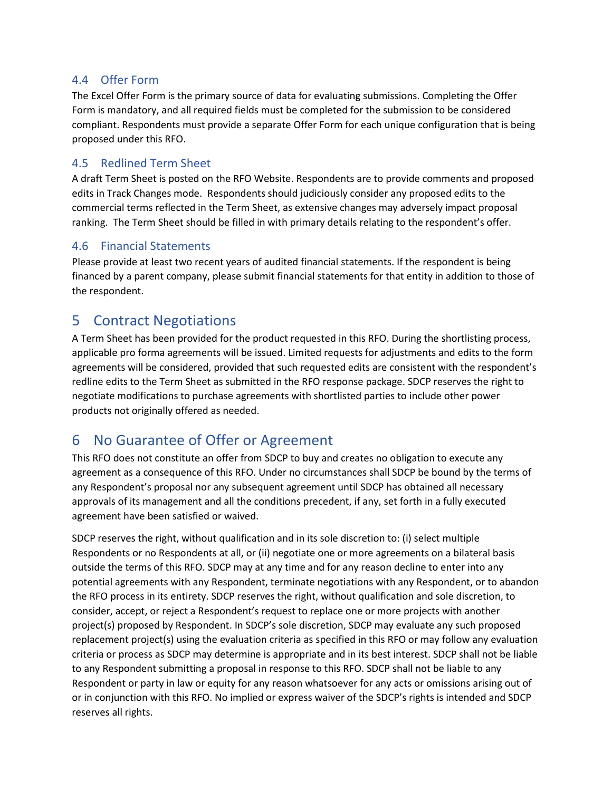#### <span id="page-6-0"></span>4.4 Offer Form

The Excel Offer Form is the primary source of data for evaluating submissions. Completing the Offer Form is mandatory, and all required fields must be completed for the submission to be considered compliant. Respondents must provide a separate Offer Form for each unique configuration that is being proposed under this RFO.

#### <span id="page-6-1"></span>4.5 Redlined Term Sheet

A draft Term Sheet is posted on the RFO Website. Respondents are to provide comments and proposed edits in Track Changes mode. Respondents should judiciously consider any proposed edits to the commercial terms reflected in the Term Sheet, as extensive changes may adversely impact proposal ranking. The Term Sheet should be filled in with primary details relating to the respondent's offer.

#### <span id="page-6-2"></span>4.6 Financial Statements

Please provide at least two recent years of audited financial statements. If the respondent is being financed by a parent company, please submit financial statements for that entity in addition to those of the respondent.

# <span id="page-6-3"></span>5 Contract Negotiations

A Term Sheet has been provided for the product requested in this RFO. During the shortlisting process, applicable pro forma agreements will be issued. Limited requests for adjustments and edits to the form agreements will be considered, provided that such requested edits are consistent with the respondent's redline edits to the Term Sheet as submitted in the RFO response package. SDCP reserves the right to negotiate modifications to purchase agreements with shortlisted parties to include other power products not originally offered as needed.

# <span id="page-6-4"></span>6 No Guarantee of Offer or Agreement

This RFO does not constitute an offer from SDCP to buy and creates no obligation to execute any agreement as a consequence of this RFO. Under no circumstances shall SDCP be bound by the terms of any Respondent's proposal nor any subsequent agreement until SDCP has obtained all necessary approvals of its management and all the conditions precedent, if any, set forth in a fully executed agreement have been satisfied or waived.

SDCP reserves the right, without qualification and in its sole discretion to: (i) select multiple Respondents or no Respondents at all, or (ii) negotiate one or more agreements on a bilateral basis outside the terms of this RFO. SDCP may at any time and for any reason decline to enter into any potential agreements with any Respondent, terminate negotiations with any Respondent, or to abandon the RFO process in its entirety. SDCP reserves the right, without qualification and sole discretion, to consider, accept, or reject a Respondent's request to replace one or more projects with another project(s) proposed by Respondent. In SDCP's sole discretion, SDCP may evaluate any such proposed replacement project(s) using the evaluation criteria as specified in this RFO or may follow any evaluation criteria or process as SDCP may determine is appropriate and in its best interest. SDCP shall not be liable to any Respondent submitting a proposal in response to this RFO. SDCP shall not be liable to any Respondent or party in law or equity for any reason whatsoever for any acts or omissions arising out of or in conjunction with this RFO. No implied or express waiver of the SDCP's rights is intended and SDCP reserves all rights.